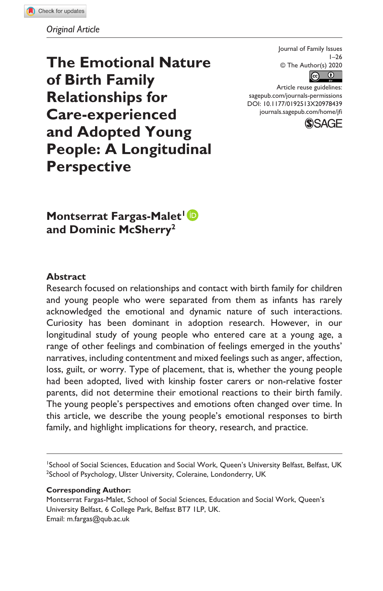*Original Article*

**The Emotional Nature of Birth Family Relationships for Care-experienced and Adopted Young People: A Longitudinal Perspective**

Journal of Family Issues  $1 - 26$ © The Author(s) 2020



Article reuse guidelines: [sagepub.com/journals-permissions](https://us.sagepub.com/en-us/journals-permissions) DOI: 10.1177/0192513X20978439 [journals.sagepub.com/home/jfi](https://journals.sagepub.com/home/jfi)



**Montserrat Fargas-Malet<sup>1</sup><sup>D</sup> and Dominic McSherry2**

#### **Abstract**

Research focused on relationships and contact with birth family for children and young people who were separated from them as infants has rarely acknowledged the emotional and dynamic nature of such interactions. Curiosity has been dominant in adoption research. However, in our longitudinal study of young people who entered care at a young age, a range of other feelings and combination of feelings emerged in the youths' narratives, including contentment and mixed feelings such as anger, affection, loss, guilt, or worry. Type of placement, that is, whether the young people had been adopted, lived with kinship foster carers or non-relative foster parents, did not determine their emotional reactions to their birth family. The young people's perspectives and emotions often changed over time. In this article, we describe the young people's emotional responses to birth family, and highlight implications for theory, research, and practice.

1 School of Social Sciences, Education and Social Work, Queen's University Belfast, Belfast, UK <sup>2</sup>School of Psychology, Ulster University, Coleraine, Londonderry, UK

#### **Corresponding Author:**

Montserrat Fargas-Malet, School of Social Sciences, Education and Social Work, Queen's University Belfast, 6 College Park, Belfast BT7 1LP, UK. Email: [m.fargas@qub.ac.uk](mailto:m.fargas@qub.ac.uk)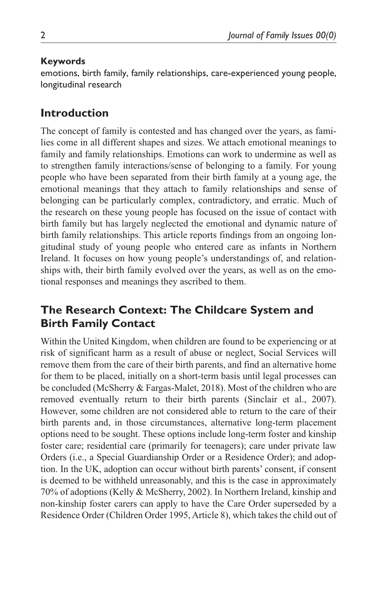### **Keywords**

emotions, birth family, family relationships, care-experienced young people, longitudinal research

# **Introduction**

The concept of family is contested and has changed over the years, as families come in all different shapes and sizes. We attach emotional meanings to family and family relationships. Emotions can work to undermine as well as to strengthen family interactions/sense of belonging to a family. For young people who have been separated from their birth family at a young age, the emotional meanings that they attach to family relationships and sense of belonging can be particularly complex, contradictory, and erratic. Much of the research on these young people has focused on the issue of contact with birth family but has largely neglected the emotional and dynamic nature of birth family relationships. This article reports findings from an ongoing longitudinal study of young people who entered care as infants in Northern Ireland. It focuses on how young people's understandings of, and relationships with, their birth family evolved over the years, as well as on the emotional responses and meanings they ascribed to them.

# **The Research Context: The Childcare System and Birth Family Contact**

Within the United Kingdom, when children are found to be experiencing or at risk of significant harm as a result of abuse or neglect, Social Services will remove them from the care of their birth parents, and find an alternative home for them to be placed, initially on a short-term basis until legal processes can be concluded (McSherry & Fargas-Malet, 2018). Most of the children who are removed eventually return to their birth parents (Sinclair et al., 2007). However, some children are not considered able to return to the care of their birth parents and, in those circumstances, alternative long-term placement options need to be sought. These options include long-term foster and kinship foster care; residential care (primarily for teenagers); care under private law Orders (i.e., a Special Guardianship Order or a Residence Order); and adoption. In the UK, adoption can occur without birth parents' consent, if consent is deemed to be withheld unreasonably, and this is the case in approximately 70% of adoptions (Kelly & McSherry, 2002). In Northern Ireland, kinship and non-kinship foster carers can apply to have the Care Order superseded by a Residence Order (Children Order 1995, Article 8), which takes the child out of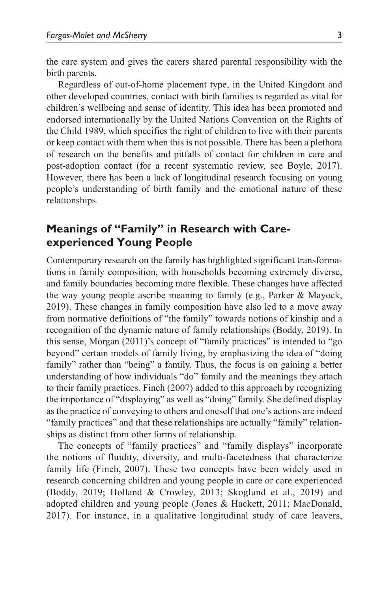the care system and gives the carers shared parental responsibility with the birth parents.

Regardless of out-of-home placement type, in the United Kingdom and other developed countries, contact with birth families is regarded as vital for children's wellbeing and sense of identity. This idea has been promoted and endorsed internationally by the United Nations Convention on the Rights of the Child 1989, which specifies the right of children to live with their parents or keep contact with them when this is not possible. There has been a plethora of research on the benefits and pitfalls of contact for children in care and post-adoption contact (for a recent systematic review, see Boyle, 2017). However, there has been a lack of longitudinal research focusing on young people's understanding of birth family and the emotional nature of these relationships.

# **Meanings of "Family" in Research with Careexperienced Young People**

Contemporary research on the family has highlighted significant transformations in family composition, with households becoming extremely diverse, and family boundaries becoming more flexible. These changes have affected the way young people ascribe meaning to family (e.g., Parker & Mayock, 2019). These changes in family composition have also led to a move away from normative definitions of "the family" towards notions of kinship and a recognition of the dynamic nature of family relationships (Boddy, 2019). In this sense, Morgan (2011)'s concept of "family practices" is intended to "go beyond" certain models of family living, by emphasizing the idea of "doing family" rather than "being" a family. Thus, the focus is on gaining a better understanding of how individuals "do" family and the meanings they attach to their family practices. Finch (2007) added to this approach by recognizing the importance of "displaying" as well as "doing" family. She defined display as the practice of conveying to others and oneself that one's actions are indeed "family practices" and that these relationships are actually "family" relationships as distinct from other forms of relationship.

The concepts of "family practices" and "family displays" incorporate the notions of fluidity, diversity, and multi-facetedness that characterize family life (Finch, 2007). These two concepts have been widely used in research concerning children and young people in care or care experienced (Boddy, 2019; Holland & Crowley, 2013; Skoglund et al., 2019) and adopted children and young people (Jones & Hackett, 2011; MacDonald, 2017). For instance, in a qualitative longitudinal study of care leavers,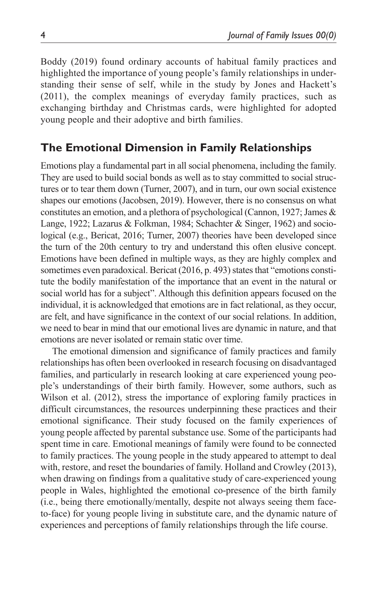Boddy (2019) found ordinary accounts of habitual family practices and highlighted the importance of young people's family relationships in understanding their sense of self, while in the study by Jones and Hackett's (2011), the complex meanings of everyday family practices, such as exchanging birthday and Christmas cards, were highlighted for adopted young people and their adoptive and birth families.

# **The Emotional Dimension in Family Relationships**

Emotions play a fundamental part in all social phenomena, including the family. They are used to build social bonds as well as to stay committed to social structures or to tear them down (Turner, 2007), and in turn, our own social existence shapes our emotions (Jacobsen, 2019). However, there is no consensus on what constitutes an emotion, and a plethora of psychological (Cannon, 1927; James & Lange, 1922; Lazarus & Folkman, 1984; Schachter & Singer, 1962) and sociological (e.g., Bericat, 2016; Turner, 2007) theories have been developed since the turn of the 20th century to try and understand this often elusive concept. Emotions have been defined in multiple ways, as they are highly complex and sometimes even paradoxical. Bericat (2016, p. 493) states that "emotions constitute the bodily manifestation of the importance that an event in the natural or social world has for a subject". Although this definition appears focused on the individual, it is acknowledged that emotions are in fact relational, as they occur, are felt, and have significance in the context of our social relations. In addition, we need to bear in mind that our emotional lives are dynamic in nature, and that emotions are never isolated or remain static over time.

The emotional dimension and significance of family practices and family relationships has often been overlooked in research focusing on disadvantaged families, and particularly in research looking at care experienced young people's understandings of their birth family. However, some authors, such as Wilson et al. (2012), stress the importance of exploring family practices in difficult circumstances, the resources underpinning these practices and their emotional significance. Their study focused on the family experiences of young people affected by parental substance use. Some of the participants had spent time in care. Emotional meanings of family were found to be connected to family practices. The young people in the study appeared to attempt to deal with, restore, and reset the boundaries of family. Holland and Crowley (2013), when drawing on findings from a qualitative study of care-experienced young people in Wales, highlighted the emotional co-presence of the birth family (i.e., being there emotionally/mentally, despite not always seeing them faceto-face) for young people living in substitute care, and the dynamic nature of experiences and perceptions of family relationships through the life course.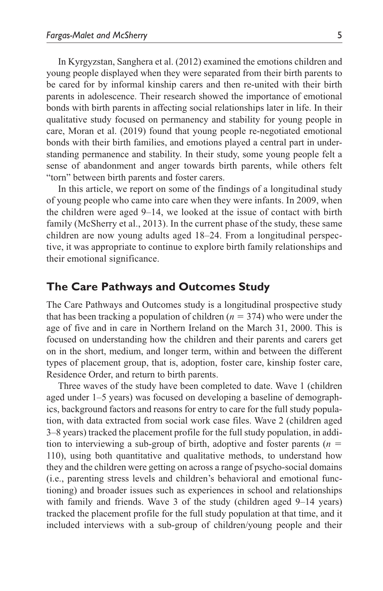In Kyrgyzstan, Sanghera et al. (2012) examined the emotions children and young people displayed when they were separated from their birth parents to be cared for by informal kinship carers and then re-united with their birth parents in adolescence. Their research showed the importance of emotional bonds with birth parents in affecting social relationships later in life. In their qualitative study focused on permanency and stability for young people in care, Moran et al. (2019) found that young people re-negotiated emotional bonds with their birth families, and emotions played a central part in understanding permanence and stability. In their study, some young people felt a sense of abandonment and anger towards birth parents, while others felt "torn" between birth parents and foster carers.

In this article, we report on some of the findings of a longitudinal study of young people who came into care when they were infants. In 2009, when the children were aged 9–14, we looked at the issue of contact with birth family (McSherry et al., 2013). In the current phase of the study, these same children are now young adults aged 18–24. From a longitudinal perspective, it was appropriate to continue to explore birth family relationships and their emotional significance.

### **The Care Pathways and Outcomes Study**

The Care Pathways and Outcomes study is a longitudinal prospective study that has been tracking a population of children  $(n = 374)$  who were under the age of five and in care in Northern Ireland on the March 31, 2000. This is focused on understanding how the children and their parents and carers get on in the short, medium, and longer term, within and between the different types of placement group, that is, adoption, foster care, kinship foster care, Residence Order, and return to birth parents.

Three waves of the study have been completed to date. Wave 1 (children aged under 1–5 years) was focused on developing a baseline of demographics, background factors and reasons for entry to care for the full study population, with data extracted from social work case files. Wave 2 (children aged 3–8 years) tracked the placement profile for the full study population, in addition to interviewing a sub-group of birth, adoptive and foster parents ( $n =$ 110), using both quantitative and qualitative methods, to understand how they and the children were getting on across a range of psycho-social domains (i.e., parenting stress levels and children's behavioral and emotional functioning) and broader issues such as experiences in school and relationships with family and friends. Wave 3 of the study (children aged 9–14 years) tracked the placement profile for the full study population at that time, and it included interviews with a sub-group of children/young people and their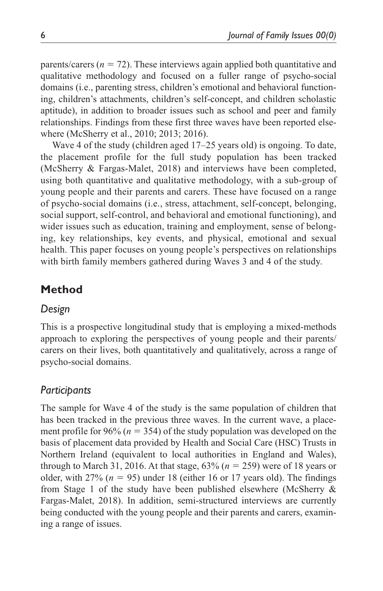parents/carers  $(n = 72)$ . These interviews again applied both quantitative and qualitative methodology and focused on a fuller range of psycho-social domains (i.e., parenting stress, children's emotional and behavioral functioning, children's attachments, children's self-concept, and children scholastic aptitude), in addition to broader issues such as school and peer and family relationships. Findings from these first three waves have been reported elsewhere (McSherry et al., 2010; 2013; 2016).

Wave 4 of the study (children aged 17–25 years old) is ongoing. To date, the placement profile for the full study population has been tracked (McSherry & Fargas-Malet, 2018) and interviews have been completed, using both quantitative and qualitative methodology, with a sub-group of young people and their parents and carers. These have focused on a range of psycho-social domains (i.e., stress, attachment, self-concept, belonging, social support, self-control, and behavioral and emotional functioning), and wider issues such as education, training and employment, sense of belonging, key relationships, key events, and physical, emotional and sexual health. This paper focuses on young people's perspectives on relationships with birth family members gathered during Waves 3 and 4 of the study.

# **Method**

### *Design*

This is a prospective longitudinal study that is employing a mixed-methods approach to exploring the perspectives of young people and their parents/ carers on their lives, both quantitatively and qualitatively, across a range of psycho-social domains.

## *Participants*

The sample for Wave 4 of the study is the same population of children that has been tracked in the previous three waves. In the current wave, a placement profile for 96% (*n* = 354) of the study population was developed on the basis of placement data provided by Health and Social Care (HSC) Trusts in Northern Ireland (equivalent to local authorities in England and Wales), through to March 31, 2016. At that stage, 63% (*n* = 259) were of 18 years or older, with  $27\%$  ( $n = 95$ ) under 18 (either 16 or 17 years old). The findings from Stage 1 of the study have been published elsewhere (McSherry & Fargas-Malet, 2018). In addition, semi-structured interviews are currently being conducted with the young people and their parents and carers, examining a range of issues.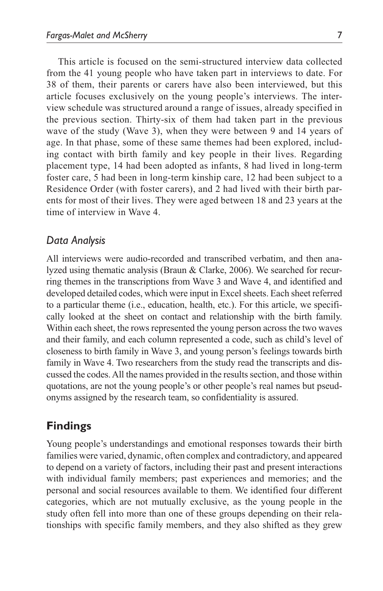This article is focused on the semi-structured interview data collected from the 41 young people who have taken part in interviews to date. For 38 of them, their parents or carers have also been interviewed, but this article focuses exclusively on the young people's interviews. The interview schedule was structured around a range of issues, already specified in the previous section. Thirty-six of them had taken part in the previous wave of the study (Wave 3), when they were between 9 and 14 years of age. In that phase, some of these same themes had been explored, including contact with birth family and key people in their lives. Regarding placement type, 14 had been adopted as infants, 8 had lived in long-term foster care, 5 had been in long-term kinship care, 12 had been subject to a Residence Order (with foster carers), and 2 had lived with their birth parents for most of their lives. They were aged between 18 and 23 years at the time of interview in Wave 4.

### *Data Analysis*

All interviews were audio-recorded and transcribed verbatim, and then analyzed using thematic analysis (Braun & Clarke, 2006). We searched for recurring themes in the transcriptions from Wave 3 and Wave 4, and identified and developed detailed codes, which were input in Excel sheets. Each sheet referred to a particular theme (i.e., education, health, etc.). For this article, we specifically looked at the sheet on contact and relationship with the birth family. Within each sheet, the rows represented the young person across the two waves and their family, and each column represented a code, such as child's level of closeness to birth family in Wave 3, and young person's feelings towards birth family in Wave 4. Two researchers from the study read the transcripts and discussed the codes. All the names provided in the results section, and those within quotations, are not the young people's or other people's real names but pseudonyms assigned by the research team, so confidentiality is assured.

### **Findings**

Young people's understandings and emotional responses towards their birth families were varied, dynamic, often complex and contradictory, and appeared to depend on a variety of factors, including their past and present interactions with individual family members; past experiences and memories; and the personal and social resources available to them. We identified four different categories, which are not mutually exclusive, as the young people in the study often fell into more than one of these groups depending on their relationships with specific family members, and they also shifted as they grew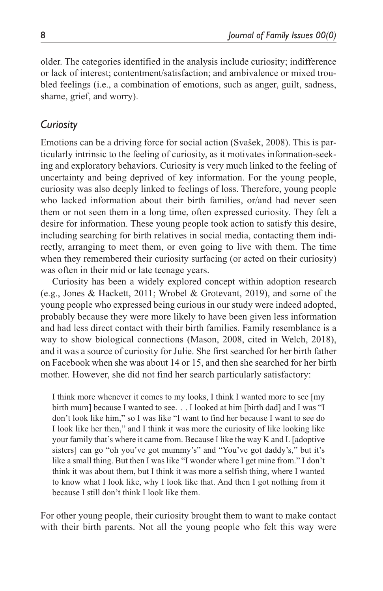older. The categories identified in the analysis include curiosity; indifference or lack of interest; contentment/satisfaction; and ambivalence or mixed troubled feelings (i.e., a combination of emotions, such as anger, guilt, sadness, shame, grief, and worry).

# *Curiosity*

Emotions can be a driving force for social action (Svašek, 2008). This is particularly intrinsic to the feeling of curiosity, as it motivates information-seeking and exploratory behaviors. Curiosity is very much linked to the feeling of uncertainty and being deprived of key information. For the young people, curiosity was also deeply linked to feelings of loss. Therefore, young people who lacked information about their birth families, or/and had never seen them or not seen them in a long time, often expressed curiosity. They felt a desire for information. These young people took action to satisfy this desire, including searching for birth relatives in social media, contacting them indirectly, arranging to meet them, or even going to live with them. The time when they remembered their curiosity surfacing (or acted on their curiosity) was often in their mid or late teenage years.

Curiosity has been a widely explored concept within adoption research (e.g., Jones & Hackett, 2011; Wrobel & Grotevant, 2019), and some of the young people who expressed being curious in our study were indeed adopted, probably because they were more likely to have been given less information and had less direct contact with their birth families. Family resemblance is a way to show biological connections (Mason, 2008, cited in Welch, 2018), and it was a source of curiosity for Julie. She first searched for her birth father on Facebook when she was about 14 or 15, and then she searched for her birth mother. However, she did not find her search particularly satisfactory:

I think more whenever it comes to my looks, I think I wanted more to see [my birth mum] because I wanted to see. . . I looked at him [birth dad] and I was "I don't look like him," so I was like "I want to find her because I want to see do I look like her then," and I think it was more the curiosity of like looking like your family that's where it came from. Because I like the way K and L [adoptive sisters] can go "oh you've got mummy's" and "You've got daddy's," but it's like a small thing. But then I was like "I wonder where I get mine from." I don't think it was about them, but I think it was more a selfish thing, where I wanted to know what I look like, why I look like that. And then I got nothing from it because I still don't think I look like them.

For other young people, their curiosity brought them to want to make contact with their birth parents. Not all the young people who felt this way were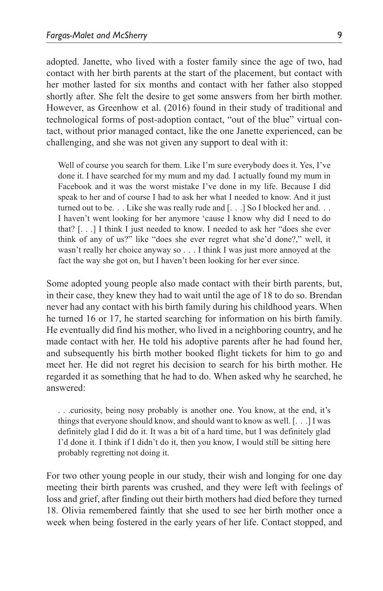adopted. Janette, who lived with a foster family since the age of two, had contact with her birth parents at the start of the placement, but contact with her mother lasted for six months and contact with her father also stopped shortly after. She felt the desire to get some answers from her birth mother. However, as Greenhow et al. (2016) found in their study of traditional and technological forms of post-adoption contact, "out of the blue" virtual contact, without prior managed contact, like the one Janette experienced, can be challenging, and she was not given any support to deal with it:

Well of course you search for them. Like I'm sure everybody does it. Yes, I've done it. I have searched for my mum and my dad. I actually found my mum in Facebook and it was the worst mistake I've done in my life. Because I did speak to her and of course I had to ask her what I needed to know. And it just turned out to be. . . Like she was really rude and [. . .] So I blocked her and. . . I haven't went looking for her anymore 'cause I know why did I need to do that? [. . .] I think I just needed to know. I needed to ask her "does she ever think of any of us?" like "does she ever regret what she'd done?," well, it wasn't really her choice anyway so . . . I think I was just more annoyed at the fact the way she got on, but I haven't been looking for her ever since.

Some adopted young people also made contact with their birth parents, but, in their case, they knew they had to wait until the age of 18 to do so. Brendan never had any contact with his birth family during his childhood years. When he turned 16 or 17, he started searching for information on his birth family. He eventually did find his mother, who lived in a neighboring country, and he made contact with her. He told his adoptive parents after he had found her, and subsequently his birth mother booked flight tickets for him to go and meet her. He did not regret his decision to search for his birth mother. He regarded it as something that he had to do. When asked why he searched, he answered:

. . .curiosity, being nosy probably is another one. You know, at the end, it's things that everyone should know, and should want to know as well. [. . .] I was definitely glad I did do it. It was a bit of a hard time, but I was definitely glad I'd done it. I think if I didn't do it, then you know, I would still be sitting here probably regretting not doing it.

For two other young people in our study, their wish and longing for one day meeting their birth parents was crushed, and they were left with feelings of loss and grief, after finding out their birth mothers had died before they turned 18. Olivia remembered faintly that she used to see her birth mother once a week when being fostered in the early years of her life. Contact stopped, and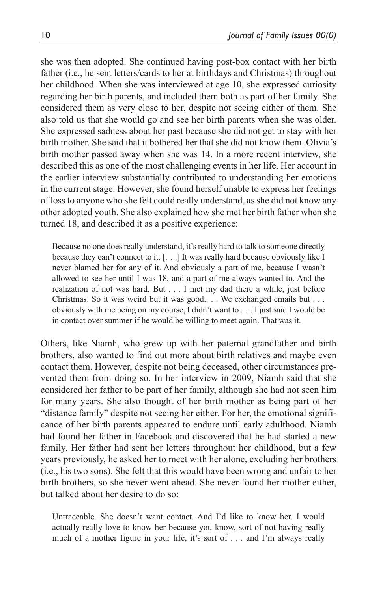she was then adopted. She continued having post-box contact with her birth father (i.e., he sent letters/cards to her at birthdays and Christmas) throughout her childhood. When she was interviewed at age 10, she expressed curiosity regarding her birth parents, and included them both as part of her family. She considered them as very close to her, despite not seeing either of them. She also told us that she would go and see her birth parents when she was older. She expressed sadness about her past because she did not get to stay with her birth mother. She said that it bothered her that she did not know them. Olivia's birth mother passed away when she was 14. In a more recent interview, she described this as one of the most challenging events in her life. Her account in the earlier interview substantially contributed to understanding her emotions in the current stage. However, she found herself unable to express her feelings of loss to anyone who she felt could really understand, as she did not know any other adopted youth. She also explained how she met her birth father when she turned 18, and described it as a positive experience:

Because no one does really understand, it's really hard to talk to someone directly because they can't connect to it. [. . .] It was really hard because obviously like I never blamed her for any of it. And obviously a part of me, because I wasn't allowed to see her until I was 18, and a part of me always wanted to. And the realization of not was hard. But . . . I met my dad there a while, just before Christmas. So it was weird but it was good.. . . We exchanged emails but . . . obviously with me being on my course, I didn't want to . . . I just said I would be in contact over summer if he would be willing to meet again. That was it.

Others, like Niamh, who grew up with her paternal grandfather and birth brothers, also wanted to find out more about birth relatives and maybe even contact them. However, despite not being deceased, other circumstances prevented them from doing so. In her interview in 2009, Niamh said that she considered her father to be part of her family, although she had not seen him for many years. She also thought of her birth mother as being part of her "distance family" despite not seeing her either. For her, the emotional significance of her birth parents appeared to endure until early adulthood. Niamh had found her father in Facebook and discovered that he had started a new family. Her father had sent her letters throughout her childhood, but a few years previously, he asked her to meet with her alone, excluding her brothers (i.e., his two sons). She felt that this would have been wrong and unfair to her birth brothers, so she never went ahead. She never found her mother either, but talked about her desire to do so:

Untraceable. She doesn't want contact. And I'd like to know her. I would actually really love to know her because you know, sort of not having really much of a mother figure in your life, it's sort of . . . and I'm always really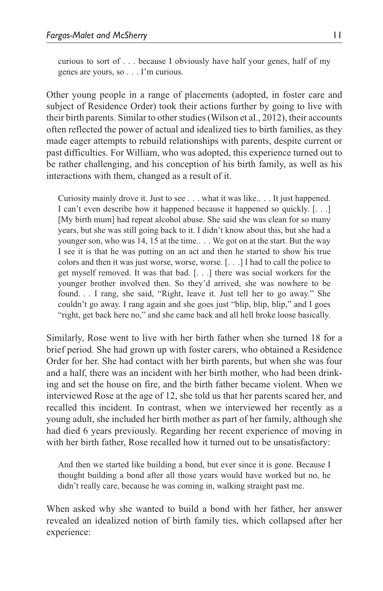curious to sort of . . . because I obviously have half your genes, half of my genes are yours, so . . . I'm curious.

Other young people in a range of placements (adopted, in foster care and subject of Residence Order) took their actions further by going to live with their birth parents. Similar to other studies (Wilson et al., 2012), their accounts often reflected the power of actual and idealized ties to birth families, as they made eager attempts to rebuild relationships with parents, despite current or past difficulties. For William, who was adopted, this experience turned out to be rather challenging, and his conception of his birth family, as well as his interactions with them, changed as a result of it.

Curiosity mainly drove it. Just to see . . . what it was like.. . . It just happened. I can't even describe how it happened because it happened so quickly. [. . .] [My birth mum] had repeat alcohol abuse. She said she was clean for so many years, but she was still going back to it. I didn't know about this, but she had a younger son, who was 14, 15 at the time.. . . We got on at the start. But the way I see it is that he was putting on an act and then he started to show his true colors and then it was just worse, worse, worse. [. . .] I had to call the police to get myself removed. It was that bad. [. . .] there was social workers for the younger brother involved then. So they'd arrived, she was nowhere to be found. . . I rang, she said, "Right, leave it. Just tell her to go away." She couldn't go away. I rang again and she goes just "blip, blip, blip," and I goes "right, get back here no," and she came back and all hell broke loose basically.

Similarly, Rose went to live with her birth father when she turned 18 for a brief period. She had grown up with foster carers, who obtained a Residence Order for her. She had contact with her birth parents, but when she was four and a half, there was an incident with her birth mother, who had been drinking and set the house on fire, and the birth father became violent. When we interviewed Rose at the age of 12, she told us that her parents scared her, and recalled this incident. In contrast, when we interviewed her recently as a young adult, she included her birth mother as part of her family, although she had died 6 years previously. Regarding her recent experience of moving in with her birth father, Rose recalled how it turned out to be unsatisfactory:

And then we started like building a bond, but ever since it is gone. Because I thought building a bond after all those years would have worked but no, he didn't really care, because he was coming in, walking straight past me.

When asked why she wanted to build a bond with her father, her answer revealed an idealized notion of birth family ties, which collapsed after her experience: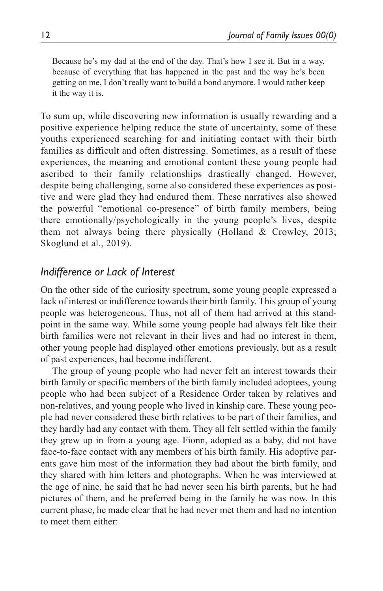Because he's my dad at the end of the day. That's how I see it. But in a way, because of everything that has happened in the past and the way he's been getting on me, I don't really want to build a bond anymore. I would rather keep it the way it is.

To sum up, while discovering new information is usually rewarding and a positive experience helping reduce the state of uncertainty, some of these youths experienced searching for and initiating contact with their birth families as difficult and often distressing. Sometimes, as a result of these experiences, the meaning and emotional content these young people had ascribed to their family relationships drastically changed. However, despite being challenging, some also considered these experiences as positive and were glad they had endured them. These narratives also showed the powerful "emotional co-presence" of birth family members, being there emotionally/psychologically in the young people's lives, despite them not always being there physically (Holland & Crowley, 2013; Skoglund et al., 2019).

## *Indifference or Lack of Interest*

On the other side of the curiosity spectrum, some young people expressed a lack of interest or indifference towards their birth family. This group of young people was heterogeneous. Thus, not all of them had arrived at this standpoint in the same way. While some young people had always felt like their birth families were not relevant in their lives and had no interest in them, other young people had displayed other emotions previously, but as a result of past experiences, had become indifferent.

The group of young people who had never felt an interest towards their birth family or specific members of the birth family included adoptees, young people who had been subject of a Residence Order taken by relatives and non-relatives, and young people who lived in kinship care. These young people had never considered these birth relatives to be part of their families, and they hardly had any contact with them. They all felt settled within the family they grew up in from a young age. Fionn, adopted as a baby, did not have face-to-face contact with any members of his birth family. His adoptive parents gave him most of the information they had about the birth family, and they shared with him letters and photographs. When he was interviewed at the age of nine, he said that he had never seen his birth parents, but he had pictures of them, and he preferred being in the family he was now. In this current phase, he made clear that he had never met them and had no intention to meet them either: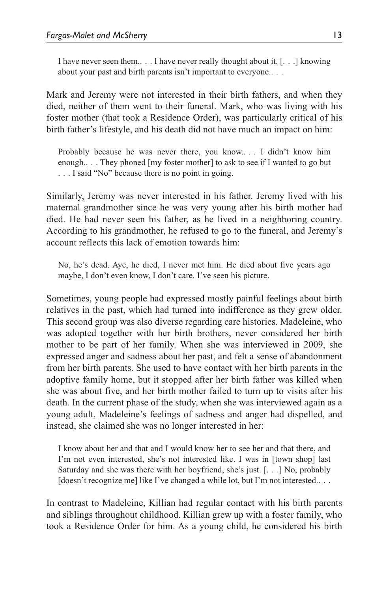I have never seen them.. . . I have never really thought about it. [. . .] knowing about your past and birth parents isn't important to everyone.. . .

Mark and Jeremy were not interested in their birth fathers, and when they died, neither of them went to their funeral. Mark, who was living with his foster mother (that took a Residence Order), was particularly critical of his birth father's lifestyle, and his death did not have much an impact on him:

Probably because he was never there, you know.. . . I didn't know him enough.. . . They phoned [my foster mother] to ask to see if I wanted to go but . . . I said "No" because there is no point in going.

Similarly, Jeremy was never interested in his father. Jeremy lived with his maternal grandmother since he was very young after his birth mother had died. He had never seen his father, as he lived in a neighboring country. According to his grandmother, he refused to go to the funeral, and Jeremy's account reflects this lack of emotion towards him:

No, he's dead. Aye, he died, I never met him. He died about five years ago maybe, I don't even know, I don't care. I've seen his picture.

Sometimes, young people had expressed mostly painful feelings about birth relatives in the past, which had turned into indifference as they grew older. This second group was also diverse regarding care histories. Madeleine, who was adopted together with her birth brothers, never considered her birth mother to be part of her family. When she was interviewed in 2009, she expressed anger and sadness about her past, and felt a sense of abandonment from her birth parents. She used to have contact with her birth parents in the adoptive family home, but it stopped after her birth father was killed when she was about five, and her birth mother failed to turn up to visits after his death. In the current phase of the study, when she was interviewed again as a young adult, Madeleine's feelings of sadness and anger had dispelled, and instead, she claimed she was no longer interested in her:

I know about her and that and I would know her to see her and that there, and I'm not even interested, she's not interested like. I was in [town shop] last Saturday and she was there with her boyfriend, she's just. [. . .] No, probably [doesn't recognize me] like I've changed a while lot, but I'm not interested.. . .

In contrast to Madeleine, Killian had regular contact with his birth parents and siblings throughout childhood. Killian grew up with a foster family, who took a Residence Order for him. As a young child, he considered his birth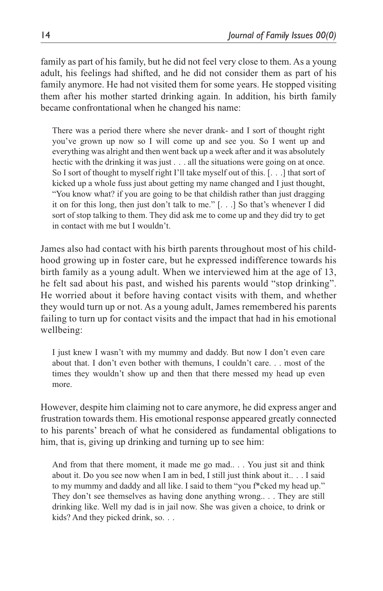family as part of his family, but he did not feel very close to them. As a young adult, his feelings had shifted, and he did not consider them as part of his family anymore. He had not visited them for some years. He stopped visiting them after his mother started drinking again. In addition, his birth family became confrontational when he changed his name:

There was a period there where she never drank- and I sort of thought right you've grown up now so I will come up and see you. So I went up and everything was alright and then went back up a week after and it was absolutely hectic with the drinking it was just . . . all the situations were going on at once. So I sort of thought to myself right I'll take myself out of this. [. . .] that sort of kicked up a whole fuss just about getting my name changed and I just thought, "You know what? if you are going to be that childish rather than just dragging it on for this long, then just don't talk to me." [. . .] So that's whenever I did sort of stop talking to them. They did ask me to come up and they did try to get in contact with me but I wouldn't.

James also had contact with his birth parents throughout most of his childhood growing up in foster care, but he expressed indifference towards his birth family as a young adult. When we interviewed him at the age of 13, he felt sad about his past, and wished his parents would "stop drinking". He worried about it before having contact visits with them, and whether they would turn up or not. As a young adult, James remembered his parents failing to turn up for contact visits and the impact that had in his emotional wellbeing:

I just knew I wasn't with my mummy and daddy. But now I don't even care about that. I don't even bother with themuns, I couldn't care. . . most of the times they wouldn't show up and then that there messed my head up even more.

However, despite him claiming not to care anymore, he did express anger and frustration towards them. His emotional response appeared greatly connected to his parents' breach of what he considered as fundamental obligations to him, that is, giving up drinking and turning up to see him:

And from that there moment, it made me go mad.. . . You just sit and think about it. Do you see now when I am in bed, I still just think about it.. . . I said to my mummy and daddy and all like. I said to them "you f\*cked my head up." They don't see themselves as having done anything wrong.. . . They are still drinking like. Well my dad is in jail now. She was given a choice, to drink or kids? And they picked drink, so. . .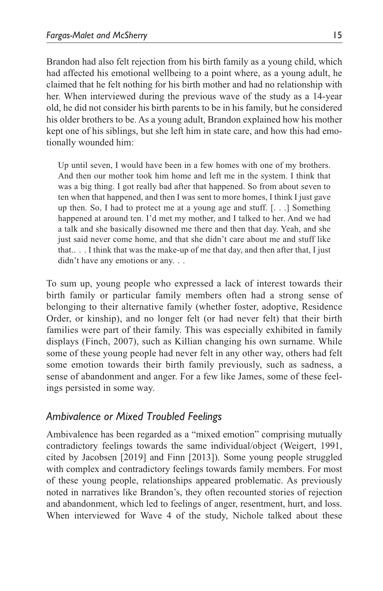Brandon had also felt rejection from his birth family as a young child, which had affected his emotional wellbeing to a point where, as a young adult, he claimed that he felt nothing for his birth mother and had no relationship with her. When interviewed during the previous wave of the study as a 14-year old, he did not consider his birth parents to be in his family, but he considered his older brothers to be. As a young adult, Brandon explained how his mother kept one of his siblings, but she left him in state care, and how this had emotionally wounded him:

Up until seven, I would have been in a few homes with one of my brothers. And then our mother took him home and left me in the system. I think that was a big thing. I got really bad after that happened. So from about seven to ten when that happened, and then I was sent to more homes, I think I just gave up then. So, I had to protect me at a young age and stuff. [. . .] Something happened at around ten. I'd met my mother, and I talked to her. And we had a talk and she basically disowned me there and then that day. Yeah, and she just said never come home, and that she didn't care about me and stuff like that.. . . I think that was the make-up of me that day, and then after that, I just didn't have any emotions or any. ..

To sum up, young people who expressed a lack of interest towards their birth family or particular family members often had a strong sense of belonging to their alternative family (whether foster, adoptive, Residence Order, or kinship), and no longer felt (or had never felt) that their birth families were part of their family. This was especially exhibited in family displays (Finch, 2007), such as Killian changing his own surname. While some of these young people had never felt in any other way, others had felt some emotion towards their birth family previously, such as sadness, a sense of abandonment and anger. For a few like James, some of these feelings persisted in some way.

### *Ambivalence or Mixed Troubled Feelings*

Ambivalence has been regarded as a "mixed emotion" comprising mutually contradictory feelings towards the same individual/object (Weigert, 1991, cited by Jacobsen [2019] and Finn [2013]). Some young people struggled with complex and contradictory feelings towards family members. For most of these young people, relationships appeared problematic. As previously noted in narratives like Brandon's, they often recounted stories of rejection and abandonment, which led to feelings of anger, resentment, hurt, and loss. When interviewed for Wave 4 of the study, Nichole talked about these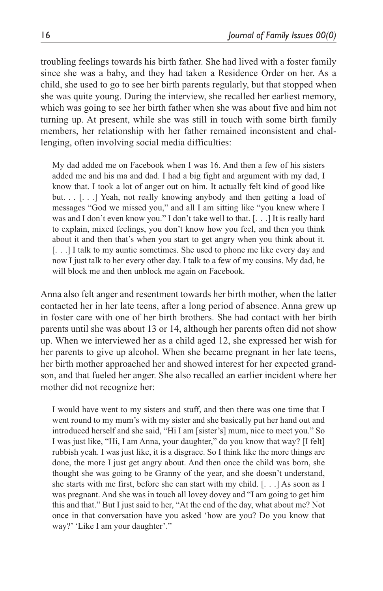troubling feelings towards his birth father. She had lived with a foster family since she was a baby, and they had taken a Residence Order on her. As a child, she used to go to see her birth parents regularly, but that stopped when she was quite young. During the interview, she recalled her earliest memory, which was going to see her birth father when she was about five and him not turning up. At present, while she was still in touch with some birth family members, her relationship with her father remained inconsistent and challenging, often involving social media difficulties:

My dad added me on Facebook when I was 16. And then a few of his sisters added me and his ma and dad. I had a big fight and argument with my dad, I know that. I took a lot of anger out on him. It actually felt kind of good like but. . . [...] Yeah, not really knowing anybody and then getting a load of messages "God we missed you," and all I am sitting like "you knew where I was and I don't even know you." I don't take well to that. [. . .] It is really hard to explain, mixed feelings, you don't know how you feel, and then you think about it and then that's when you start to get angry when you think about it. [. . .] I talk to my auntie sometimes. She used to phone me like every day and now I just talk to her every other day. I talk to a few of my cousins. My dad, he will block me and then unblock me again on Facebook.

Anna also felt anger and resentment towards her birth mother, when the latter contacted her in her late teens, after a long period of absence. Anna grew up in foster care with one of her birth brothers. She had contact with her birth parents until she was about 13 or 14, although her parents often did not show up. When we interviewed her as a child aged 12, she expressed her wish for her parents to give up alcohol. When she became pregnant in her late teens, her birth mother approached her and showed interest for her expected grandson, and that fueled her anger. She also recalled an earlier incident where her mother did not recognize her:

I would have went to my sisters and stuff, and then there was one time that I went round to my mum's with my sister and she basically put her hand out and introduced herself and she said, "Hi I am [sister's] mum, nice to meet you." So I was just like, "Hi, I am Anna, your daughter," do you know that way? [I felt] rubbish yeah. I was just like, it is a disgrace. So I think like the more things are done, the more I just get angry about. And then once the child was born, she thought she was going to be Granny of the year, and she doesn't understand, she starts with me first, before she can start with my child. [. . .] As soon as I was pregnant. And she was in touch all lovey dovey and "I am going to get him this and that." But I just said to her, "At the end of the day, what about me? Not once in that conversation have you asked 'how are you? Do you know that way?' 'Like I am your daughter'."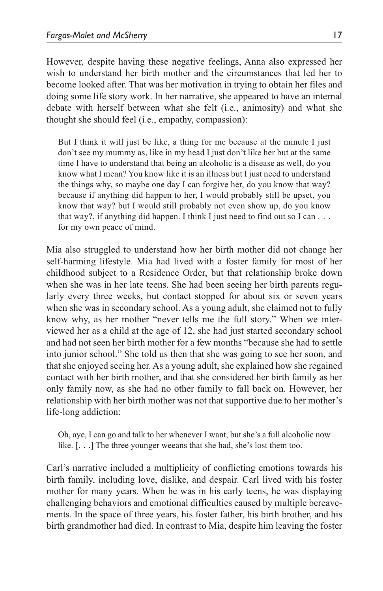However, despite having these negative feelings, Anna also expressed her wish to understand her birth mother and the circumstances that led her to become looked after. That was her motivation in trying to obtain her files and doing some life story work. In her narrative, she appeared to have an internal debate with herself between what she felt (i.e., animosity) and what she thought she should feel (i.e., empathy, compassion):

But I think it will just be like, a thing for me because at the minute I just don't see my mummy as, like in my head I just don't like her but at the same time I have to understand that being an alcoholic is a disease as well, do you know what I mean? You know like it is an illness but I just need to understand the things why, so maybe one day I can forgive her, do you know that way? because if anything did happen to her, I would probably still be upset, you know that way? but I would still probably not even show up, do you know that way?, if anything did happen. I think I just need to find out so I can . . . for my own peace of mind.

Mia also struggled to understand how her birth mother did not change her self-harming lifestyle. Mia had lived with a foster family for most of her childhood subject to a Residence Order, but that relationship broke down when she was in her late teens. She had been seeing her birth parents regularly every three weeks, but contact stopped for about six or seven years when she was in secondary school. As a young adult, she claimed not to fully know why, as her mother "never tells me the full story." When we interviewed her as a child at the age of 12, she had just started secondary school and had not seen her birth mother for a few months "because she had to settle into junior school." She told us then that she was going to see her soon, and that she enjoyed seeing her. As a young adult, she explained how she regained contact with her birth mother, and that she considered her birth family as her only family now, as she had no other family to fall back on. However, her relationship with her birth mother was not that supportive due to her mother's life-long addiction:

Oh, aye, I can go and talk to her whenever I want, but she's a full alcoholic now like. [. . .] The three younger weeans that she had, she's lost them too.

Carl's narrative included a multiplicity of conflicting emotions towards his birth family, including love, dislike, and despair. Carl lived with his foster mother for many years. When he was in his early teens, he was displaying challenging behaviors and emotional difficulties caused by multiple bereavements. In the space of three years, his foster father, his birth brother, and his birth grandmother had died. In contrast to Mia, despite him leaving the foster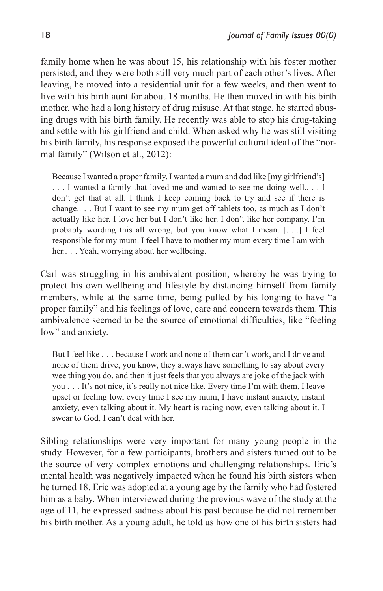family home when he was about 15, his relationship with his foster mother persisted, and they were both still very much part of each other's lives. After leaving, he moved into a residential unit for a few weeks, and then went to live with his birth aunt for about 18 months. He then moved in with his birth mother, who had a long history of drug misuse. At that stage, he started abusing drugs with his birth family. He recently was able to stop his drug-taking and settle with his girlfriend and child. When asked why he was still visiting his birth family, his response exposed the powerful cultural ideal of the "normal family" (Wilson et al., 2012):

Because I wanted a proper family, I wanted a mum and dad like [my girlfriend's] . . . I wanted a family that loved me and wanted to see me doing well.. . . I don't get that at all. I think I keep coming back to try and see if there is change.. . . But I want to see my mum get off tablets too, as much as I don't actually like her. I love her but I don't like her. I don't like her company. I'm probably wording this all wrong, but you know what I mean. [. . .] I feel responsible for my mum. I feel I have to mother my mum every time I am with her.. . . Yeah, worrying about her wellbeing.

Carl was struggling in his ambivalent position, whereby he was trying to protect his own wellbeing and lifestyle by distancing himself from family members, while at the same time, being pulled by his longing to have "a proper family" and his feelings of love, care and concern towards them. This ambivalence seemed to be the source of emotional difficulties, like "feeling low" and anxiety.

But I feel like . . . because I work and none of them can't work, and I drive and none of them drive, you know, they always have something to say about every wee thing you do, and then it just feels that you always are joke of the jack with you . . . It's not nice, it's really not nice like. Every time I'm with them, I leave upset or feeling low, every time I see my mum, I have instant anxiety, instant anxiety, even talking about it. My heart is racing now, even talking about it. I swear to God, I can't deal with her.

Sibling relationships were very important for many young people in the study. However, for a few participants, brothers and sisters turned out to be the source of very complex emotions and challenging relationships. Eric's mental health was negatively impacted when he found his birth sisters when he turned 18. Eric was adopted at a young age by the family who had fostered him as a baby. When interviewed during the previous wave of the study at the age of 11, he expressed sadness about his past because he did not remember his birth mother. As a young adult, he told us how one of his birth sisters had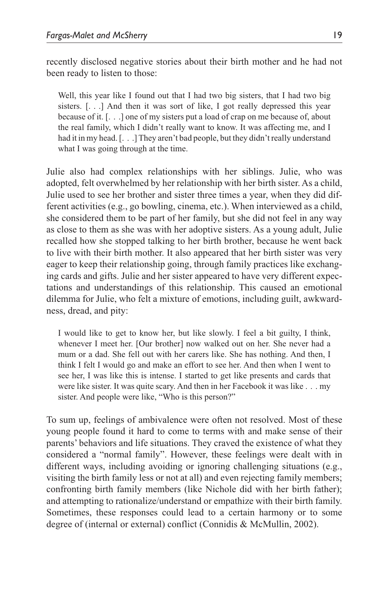recently disclosed negative stories about their birth mother and he had not been ready to listen to those:

Well, this year like I found out that I had two big sisters, that I had two big sisters. [. . .] And then it was sort of like, I got really depressed this year because of it. [. . .] one of my sisters put a load of crap on me because of, about the real family, which I didn't really want to know. It was affecting me, and I had it in my head. [. . .] They aren't bad people, but they didn't really understand what I was going through at the time.

Julie also had complex relationships with her siblings. Julie, who was adopted, felt overwhelmed by her relationship with her birth sister. As a child, Julie used to see her brother and sister three times a year, when they did different activities (e.g., go bowling, cinema, etc.). When interviewed as a child, she considered them to be part of her family, but she did not feel in any way as close to them as she was with her adoptive sisters. As a young adult, Julie recalled how she stopped talking to her birth brother, because he went back to live with their birth mother. It also appeared that her birth sister was very eager to keep their relationship going, through family practices like exchanging cards and gifts. Julie and her sister appeared to have very different expectations and understandings of this relationship. This caused an emotional dilemma for Julie, who felt a mixture of emotions, including guilt, awkwardness, dread, and pity:

I would like to get to know her, but like slowly. I feel a bit guilty, I think, whenever I meet her. [Our brother] now walked out on her. She never had a mum or a dad. She fell out with her carers like. She has nothing. And then, I think I felt I would go and make an effort to see her. And then when I went to see her, I was like this is intense. I started to get like presents and cards that were like sister. It was quite scary. And then in her Facebook it was like . . . my sister. And people were like, "Who is this person?"

To sum up, feelings of ambivalence were often not resolved. Most of these young people found it hard to come to terms with and make sense of their parents' behaviors and life situations. They craved the existence of what they considered a "normal family". However, these feelings were dealt with in different ways, including avoiding or ignoring challenging situations (e.g., visiting the birth family less or not at all) and even rejecting family members; confronting birth family members (like Nichole did with her birth father); and attempting to rationalize/understand or empathize with their birth family. Sometimes, these responses could lead to a certain harmony or to some degree of (internal or external) conflict (Connidis & McMullin, 2002).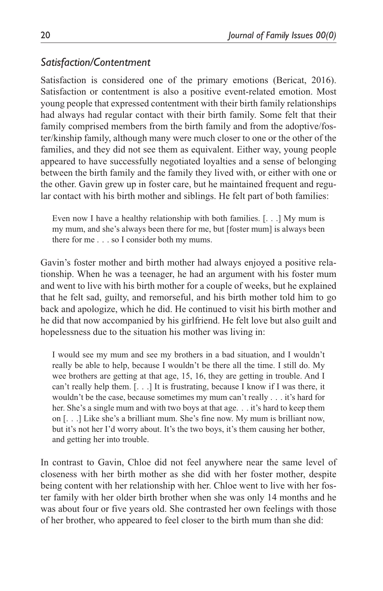## *Satisfaction/Contentment*

Satisfaction is considered one of the primary emotions (Bericat, 2016). Satisfaction or contentment is also a positive event-related emotion. Most young people that expressed contentment with their birth family relationships had always had regular contact with their birth family. Some felt that their family comprised members from the birth family and from the adoptive/foster/kinship family, although many were much closer to one or the other of the families, and they did not see them as equivalent. Either way, young people appeared to have successfully negotiated loyalties and a sense of belonging between the birth family and the family they lived with, or either with one or the other. Gavin grew up in foster care, but he maintained frequent and regular contact with his birth mother and siblings. He felt part of both families:

Even now I have a healthy relationship with both families. [. . .] My mum is my mum, and she's always been there for me, but [foster mum] is always been there for me . . . so I consider both my mums.

Gavin's foster mother and birth mother had always enjoyed a positive relationship. When he was a teenager, he had an argument with his foster mum and went to live with his birth mother for a couple of weeks, but he explained that he felt sad, guilty, and remorseful, and his birth mother told him to go back and apologize, which he did. He continued to visit his birth mother and he did that now accompanied by his girlfriend. He felt love but also guilt and hopelessness due to the situation his mother was living in:

I would see my mum and see my brothers in a bad situation, and I wouldn't really be able to help, because I wouldn't be there all the time. I still do. My wee brothers are getting at that age, 15, 16, they are getting in trouble. And I can't really help them. [. . .] It is frustrating, because I know if I was there, it wouldn't be the case, because sometimes my mum can't really . . . it's hard for her. She's a single mum and with two boys at that age. . . it's hard to keep them on [. . .] Like she's a brilliant mum. She's fine now. My mum is brilliant now, but it's not her I'd worry about. It's the two boys, it's them causing her bother, and getting her into trouble.

In contrast to Gavin, Chloe did not feel anywhere near the same level of closeness with her birth mother as she did with her foster mother, despite being content with her relationship with her. Chloe went to live with her foster family with her older birth brother when she was only 14 months and he was about four or five years old. She contrasted her own feelings with those of her brother, who appeared to feel closer to the birth mum than she did: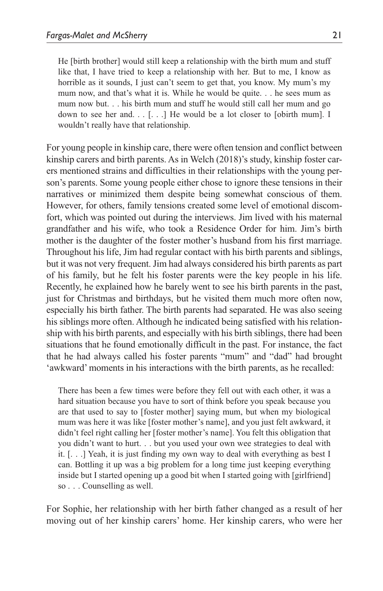He [birth brother] would still keep a relationship with the birth mum and stuff like that, I have tried to keep a relationship with her. But to me, I know as horrible as it sounds, I just can't seem to get that, you know. My mum's my mum now, and that's what it is. While he would be quite. . . he sees mum as mum now but. . . his birth mum and stuff he would still call her mum and go down to see her and.  $\ldots$  [ $\ldots$ ] He would be a lot closer to [obirth mum]. I wouldn't really have that relationship.

For young people in kinship care, there were often tension and conflict between kinship carers and birth parents. As in Welch (2018)'s study, kinship foster carers mentioned strains and difficulties in their relationships with the young person's parents. Some young people either chose to ignore these tensions in their narratives or minimized them despite being somewhat conscious of them. However, for others, family tensions created some level of emotional discomfort, which was pointed out during the interviews. Jim lived with his maternal grandfather and his wife, who took a Residence Order for him. Jim's birth mother is the daughter of the foster mother's husband from his first marriage. Throughout his life, Jim had regular contact with his birth parents and siblings, but it was not very frequent. Jim had always considered his birth parents as part of his family, but he felt his foster parents were the key people in his life. Recently, he explained how he barely went to see his birth parents in the past, just for Christmas and birthdays, but he visited them much more often now, especially his birth father. The birth parents had separated. He was also seeing his siblings more often. Although he indicated being satisfied with his relationship with his birth parents, and especially with his birth siblings, there had been situations that he found emotionally difficult in the past. For instance, the fact that he had always called his foster parents "mum" and "dad" had brought 'awkward' moments in his interactions with the birth parents, as he recalled:

There has been a few times were before they fell out with each other, it was a hard situation because you have to sort of think before you speak because you are that used to say to [foster mother] saying mum, but when my biological mum was here it was like [foster mother's name], and you just felt awkward, it didn't feel right calling her [foster mother's name]. You felt this obligation that you didn't want to hurt. . . but you used your own wee strategies to deal with it. [. . .] Yeah, it is just finding my own way to deal with everything as best I can. Bottling it up was a big problem for a long time just keeping everything inside but I started opening up a good bit when I started going with [girlfriend] so . . . Counselling as well.

For Sophie, her relationship with her birth father changed as a result of her moving out of her kinship carers' home. Her kinship carers, who were her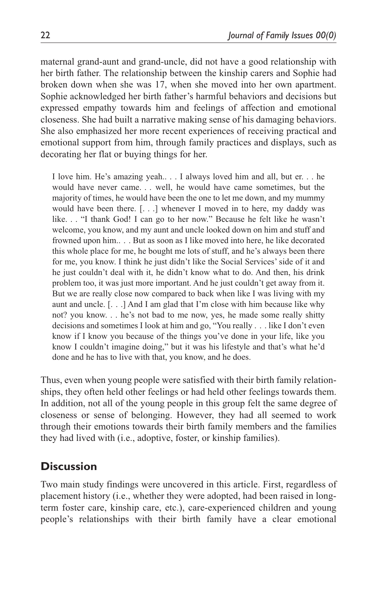maternal grand-aunt and grand-uncle, did not have a good relationship with her birth father. The relationship between the kinship carers and Sophie had broken down when she was 17, when she moved into her own apartment. Sophie acknowledged her birth father's harmful behaviors and decisions but expressed empathy towards him and feelings of affection and emotional closeness. She had built a narrative making sense of his damaging behaviors. She also emphasized her more recent experiences of receiving practical and emotional support from him, through family practices and displays, such as decorating her flat or buying things for her.

I love him. He's amazing yeah.. . . I always loved him and all, but er. . . he would have never came. . . well, he would have came sometimes, but the majority of times, he would have been the one to let me down, and my mummy would have been there. [. . .] whenever I moved in to here, my daddy was like. . . "I thank God! I can go to her now." Because he felt like he wasn't welcome, you know, and my aunt and uncle looked down on him and stuff and frowned upon him.. . . But as soon as I like moved into here, he like decorated this whole place for me, he bought me lots of stuff, and he's always been there for me, you know. I think he just didn't like the Social Services' side of it and he just couldn't deal with it, he didn't know what to do. And then, his drink problem too, it was just more important. And he just couldn't get away from it. But we are really close now compared to back when like I was living with my aunt and uncle. [. . .] And I am glad that I'm close with him because like why not? you know. . . he's not bad to me now, yes, he made some really shitty decisions and sometimes I look at him and go, "You really . . . like I don't even know if I know you because of the things you've done in your life, like you know I couldn't imagine doing," but it was his lifestyle and that's what he'd done and he has to live with that, you know, and he does.

Thus, even when young people were satisfied with their birth family relationships, they often held other feelings or had held other feelings towards them. In addition, not all of the young people in this group felt the same degree of closeness or sense of belonging. However, they had all seemed to work through their emotions towards their birth family members and the families they had lived with (i.e., adoptive, foster, or kinship families).

# **Discussion**

Two main study findings were uncovered in this article. First, regardless of placement history (i.e., whether they were adopted, had been raised in longterm foster care, kinship care, etc.), care-experienced children and young people's relationships with their birth family have a clear emotional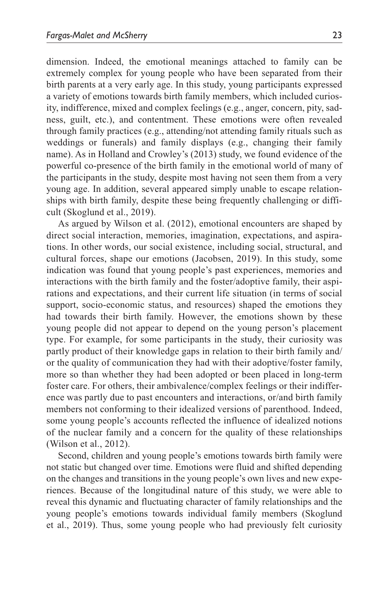dimension. Indeed, the emotional meanings attached to family can be extremely complex for young people who have been separated from their birth parents at a very early age. In this study, young participants expressed a variety of emotions towards birth family members, which included curiosity, indifference, mixed and complex feelings (e.g., anger, concern, pity, sadness, guilt, etc.), and contentment. These emotions were often revealed through family practices (e.g., attending/not attending family rituals such as weddings or funerals) and family displays (e.g., changing their family name). As in Holland and Crowley's (2013) study, we found evidence of the powerful co-presence of the birth family in the emotional world of many of the participants in the study, despite most having not seen them from a very young age. In addition, several appeared simply unable to escape relationships with birth family, despite these being frequently challenging or difficult (Skoglund et al., 2019).

As argued by Wilson et al. (2012), emotional encounters are shaped by direct social interaction, memories, imagination, expectations, and aspirations. In other words, our social existence, including social, structural, and cultural forces, shape our emotions (Jacobsen, 2019). In this study, some indication was found that young people's past experiences, memories and interactions with the birth family and the foster/adoptive family, their aspirations and expectations, and their current life situation (in terms of social support, socio-economic status, and resources) shaped the emotions they had towards their birth family. However, the emotions shown by these young people did not appear to depend on the young person's placement type. For example, for some participants in the study, their curiosity was partly product of their knowledge gaps in relation to their birth family and/ or the quality of communication they had with their adoptive/foster family, more so than whether they had been adopted or been placed in long-term foster care. For others, their ambivalence/complex feelings or their indifference was partly due to past encounters and interactions, or/and birth family members not conforming to their idealized versions of parenthood. Indeed, some young people's accounts reflected the influence of idealized notions of the nuclear family and a concern for the quality of these relationships (Wilson et al., 2012).

Second, children and young people's emotions towards birth family were not static but changed over time. Emotions were fluid and shifted depending on the changes and transitions in the young people's own lives and new experiences. Because of the longitudinal nature of this study, we were able to reveal this dynamic and fluctuating character of family relationships and the young people's emotions towards individual family members (Skoglund et al., 2019). Thus, some young people who had previously felt curiosity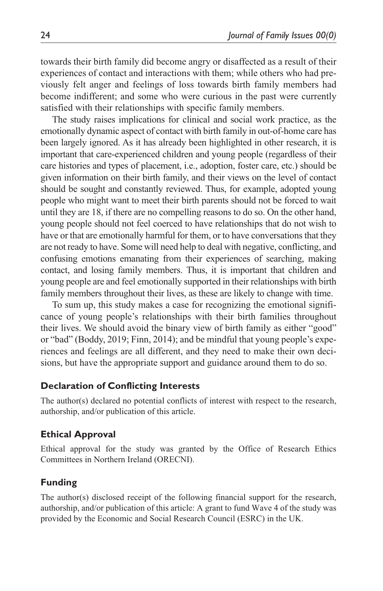towards their birth family did become angry or disaffected as a result of their experiences of contact and interactions with them; while others who had previously felt anger and feelings of loss towards birth family members had become indifferent; and some who were curious in the past were currently satisfied with their relationships with specific family members.

The study raises implications for clinical and social work practice, as the emotionally dynamic aspect of contact with birth family in out-of-home care has been largely ignored. As it has already been highlighted in other research, it is important that care-experienced children and young people (regardless of their care histories and types of placement, i.e., adoption, foster care, etc.) should be given information on their birth family, and their views on the level of contact should be sought and constantly reviewed. Thus, for example, adopted young people who might want to meet their birth parents should not be forced to wait until they are 18, if there are no compelling reasons to do so. On the other hand, young people should not feel coerced to have relationships that do not wish to have or that are emotionally harmful for them, or to have conversations that they are not ready to have. Some will need help to deal with negative, conflicting, and confusing emotions emanating from their experiences of searching, making contact, and losing family members. Thus, it is important that children and young people are and feel emotionally supported in their relationships with birth family members throughout their lives, as these are likely to change with time.

To sum up, this study makes a case for recognizing the emotional significance of young people's relationships with their birth families throughout their lives. We should avoid the binary view of birth family as either "good" or "bad" (Boddy, 2019; Finn, 2014); and be mindful that young people's experiences and feelings are all different, and they need to make their own decisions, but have the appropriate support and guidance around them to do so.

#### **Declaration of Conflicting Interests**

The author(s) declared no potential conflicts of interest with respect to the research, authorship, and/or publication of this article.

#### **Ethical Approval**

Ethical approval for the study was granted by the Office of Research Ethics Committees in Northern Ireland (ORECNI).

#### **Funding**

The author(s) disclosed receipt of the following financial support for the research, authorship, and/or publication of this article: A grant to fund Wave 4 of the study was provided by the Economic and Social Research Council (ESRC) in the UK.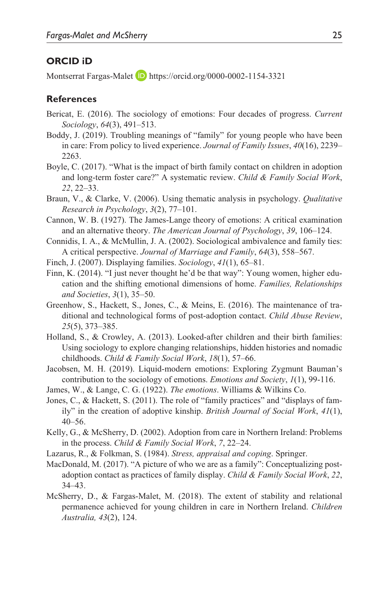### **ORCID iD**

Montserrat Fargas-Malet **D** <https://orcid.org/0000-0002-1154-3321>

#### **References**

- Bericat, E. (2016). The sociology of emotions: Four decades of progress. *Current Sociology*, *64*(3), 491–513.
- Boddy, J. (2019). Troubling meanings of "family" for young people who have been in care: From policy to lived experience. *Journal of Family Issues*, *40*(16), 2239– 2263.
- Boyle, C. (2017). "What is the impact of birth family contact on children in adoption and long-term foster care?" A systematic review. *Child & Family Social Work*, *22*, 22–33.
- Braun, V., & Clarke, V. (2006). Using thematic analysis in psychology. *Qualitative Research in Psychology*, *3*(2), 77–101.
- Cannon, W. B. (1927). The James-Lange theory of emotions: A critical examination and an alternative theory. *The American Journal of Psychology*, *39*, 106–124.
- Connidis, I. A., & McMullin, J. A. (2002). Sociological ambivalence and family ties: A critical perspective. *Journal of Marriage and Family*, *64*(3), 558–567.
- Finch, J. (2007). Displaying families. *Sociology*, *41*(1), 65–81.
- Finn, K. (2014). "I just never thought he'd be that way": Young women, higher education and the shifting emotional dimensions of home. *Families, Relationships and Societies*, *3*(1), 35–50.
- Greenhow, S., Hackett, S., Jones, C., & Meins, E. (2016). The maintenance of traditional and technological forms of post-adoption contact. *Child Abuse Review*, *25*(5), 373–385.
- Holland, S., & Crowley, A. (2013). Looked-after children and their birth families: Using sociology to explore changing relationships, hidden histories and nomadic childhoods. *Child & Family Social Work*, *18*(1), 57–66.
- Jacobsen, M. H. (2019). Liquid-modern emotions: Exploring Zygmunt Bauman's contribution to the sociology of emotions. *Emotions and Society*, *1*(1), 99-116.
- James, W., & Lange, C. G. (1922). *The emotions*. Williams & Wilkins Co.
- Jones, C., & Hackett, S. (2011). The role of "family practices" and "displays of family" in the creation of adoptive kinship. *British Journal of Social Work*, *41*(1), 40–56.
- Kelly, G., & McSherry, D. (2002). Adoption from care in Northern Ireland: Problems in the process. *Child & Family Social Work*, *7*, 22–24.
- Lazarus, R., & Folkman, S. (1984). *Stress, appraisal and coping*. Springer.
- MacDonald, M. (2017). "A picture of who we are as a family": Conceptualizing postadoption contact as practices of family display. *Child & Family Social Work*, *22*, 34–43.
- McSherry, D., & Fargas-Malet, M. (2018). The extent of stability and relational permanence achieved for young children in care in Northern Ireland. *Children Australia, 43*(2), 124.